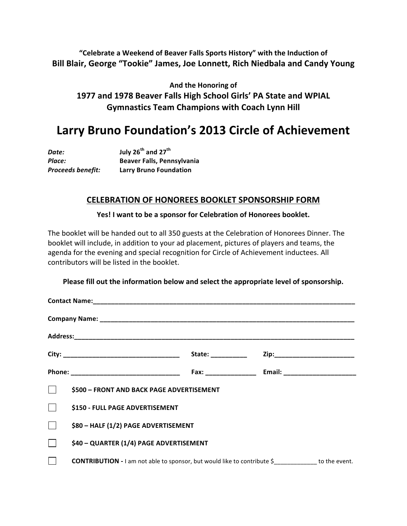"Celebrate a Weekend of Beaver Falls Sports History" with the Induction of Bill Blair, George "Tookie" James, Joe Lonnett, Rich Niedbala and Candy Young

And the Honoring of 1977 and 1978 Beaver Falls High School Girls' PA State and WPIAL **Gymnastics Team Champions with Coach Lynn Hill** 

# Larry Bruno Foundation's 2013 Circle of Achievement

| Date:             | July 26 <sup>th</sup> and 27 <sup>th</sup> |
|-------------------|--------------------------------------------|
| Place:            | Beaver Falls, Pennsylvania                 |
| Proceeds benefit: | <b>Larry Bruno Foundation</b>              |

### **CELEBRATION)OF)HONOREES)BOOKLET)SPONSORSHIP FORM**

#### Yes! I want to be a sponsor for Celebration of Honorees booklet.

The booklet will be handed out to all 350 guests at the Celebration of Honorees Dinner. The booklet will include, in addition to your ad placement, pictures of players and teams, the agenda for the evening and special recognition for Circle of Achievement inductees. All contributors will be listed in the booklet.

#### Please fill out the information below and select the appropriate level of sponsorship.

|              |                                                                                                    | State: ___________ |  |  |
|--------------|----------------------------------------------------------------------------------------------------|--------------------|--|--|
|              |                                                                                                    |                    |  |  |
|              | \$500 - FRONT AND BACK PAGE ADVERTISEMENT                                                          |                    |  |  |
| $\mathbf{I}$ | \$150 - FULL PAGE ADVERTISEMENT                                                                    |                    |  |  |
|              | \$80 - HALF (1/2) PAGE ADVERTISEMENT                                                               |                    |  |  |
|              | \$40 - QUARTER (1/4) PAGE ADVERTISEMENT                                                            |                    |  |  |
|              | <b>CONTRIBUTION</b> - I am not able to sponsor, but would like to contribute $\oint$ to the event. |                    |  |  |